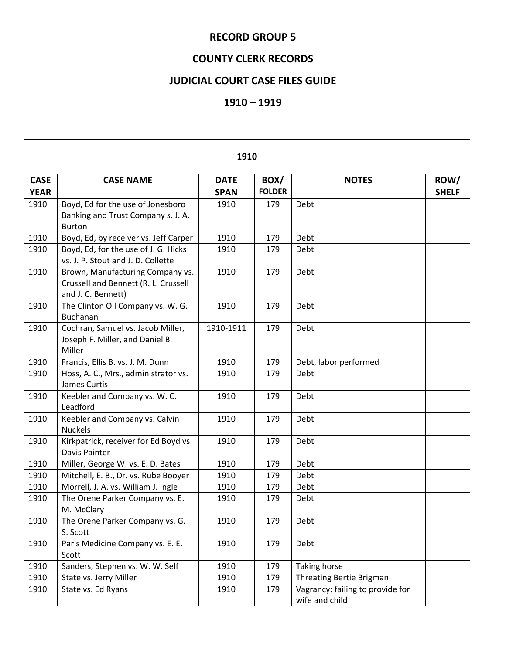## **RECORD GROUP 5**

## **COUNTY CLERK RECORDS**

## **JUDICIAL COURT CASE FILES GUIDE**

## **1910 – 1919**

| 1910                       |                                                                                                |                            |                       |                                                    |                      |  |  |  |
|----------------------------|------------------------------------------------------------------------------------------------|----------------------------|-----------------------|----------------------------------------------------|----------------------|--|--|--|
| <b>CASE</b><br><b>YEAR</b> | <b>CASE NAME</b>                                                                               | <b>DATE</b><br><b>SPAN</b> | BOX/<br><b>FOLDER</b> | <b>NOTES</b>                                       | ROW/<br><b>SHELF</b> |  |  |  |
| 1910                       | Boyd, Ed for the use of Jonesboro<br>Banking and Trust Company s. J. A.<br><b>Burton</b>       | 1910                       | 179                   | Debt                                               |                      |  |  |  |
| 1910                       | Boyd, Ed, by receiver vs. Jeff Carper                                                          | 1910                       | 179                   | Debt                                               |                      |  |  |  |
| 1910                       | Boyd, Ed, for the use of J. G. Hicks<br>vs. J. P. Stout and J. D. Collette                     | 1910                       | 179                   | Debt                                               |                      |  |  |  |
| 1910                       | Brown, Manufacturing Company vs.<br>Crussell and Bennett (R. L. Crussell<br>and J. C. Bennett) | 1910                       | 179                   | Debt                                               |                      |  |  |  |
| 1910                       | The Clinton Oil Company vs. W. G.<br><b>Buchanan</b>                                           | 1910                       | 179                   | Debt                                               |                      |  |  |  |
| 1910                       | Cochran, Samuel vs. Jacob Miller,<br>Joseph F. Miller, and Daniel B.<br>Miller                 | 1910-1911                  | 179                   | Debt                                               |                      |  |  |  |
| 1910                       | Francis, Ellis B. vs. J. M. Dunn                                                               | 1910                       | 179                   | Debt, labor performed                              |                      |  |  |  |
| 1910                       | Hoss, A. C., Mrs., administrator vs.<br>James Curtis                                           | 1910                       | 179                   | Debt                                               |                      |  |  |  |
| 1910                       | Keebler and Company vs. W. C.<br>Leadford                                                      | 1910                       | 179                   | Debt                                               |                      |  |  |  |
| 1910                       | Keebler and Company vs. Calvin<br><b>Nuckels</b>                                               | 1910                       | 179                   | Debt                                               |                      |  |  |  |
| 1910                       | Kirkpatrick, receiver for Ed Boyd vs.<br>Davis Painter                                         | 1910                       | 179                   | Debt                                               |                      |  |  |  |
| 1910                       | Miller, George W. vs. E. D. Bates                                                              | 1910                       | 179                   | Debt                                               |                      |  |  |  |
| 1910                       | Mitchell, E. B., Dr. vs. Rube Booyer                                                           | 1910                       | 179                   | Debt                                               |                      |  |  |  |
| 1910                       | Morrell, J. A. vs. William J. Ingle                                                            | 1910                       | 179                   | Debt                                               |                      |  |  |  |
| 1910                       | The Orene Parker Company vs. E.<br>M. McClary                                                  | 1910                       | 179                   | Debt                                               |                      |  |  |  |
| 1910                       | The Orene Parker Company vs. G.<br>S. Scott                                                    | 1910                       | 179                   | Debt                                               |                      |  |  |  |
| 1910                       | Paris Medicine Company vs. E. E.<br>Scott                                                      | 1910                       | 179                   | Debt                                               |                      |  |  |  |
| 1910                       | Sanders, Stephen vs. W. W. Self                                                                | 1910                       | 179                   | Taking horse                                       |                      |  |  |  |
| 1910                       | State vs. Jerry Miller                                                                         | 1910                       | 179                   | <b>Threating Bertie Brigman</b>                    |                      |  |  |  |
| 1910                       | State vs. Ed Ryans                                                                             | 1910                       | 179                   | Vagrancy: failing to provide for<br>wife and child |                      |  |  |  |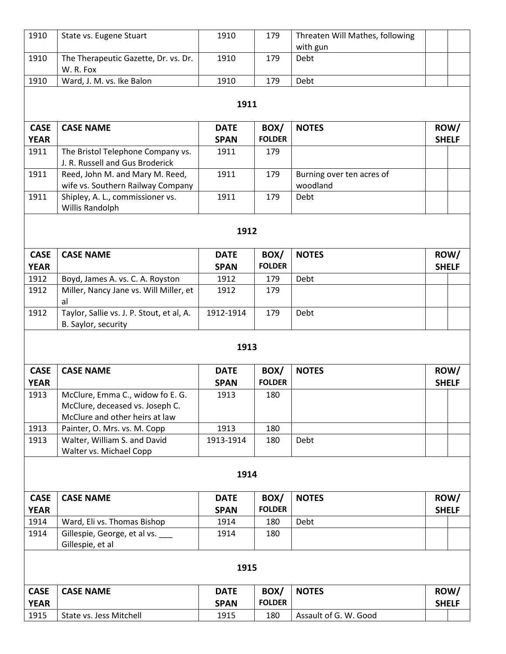| 1910                | State vs. Eugene Stuart                                              | 1910                | 179                   | Threaten Will Mathes, following       |              |      |  |  |
|---------------------|----------------------------------------------------------------------|---------------------|-----------------------|---------------------------------------|--------------|------|--|--|
| 1910                | The Therapeutic Gazette, Dr. vs. Dr.                                 | 1910                | 179                   | with gun<br>Debt                      |              |      |  |  |
|                     | W. R. Fox                                                            |                     |                       |                                       |              |      |  |  |
| 1910                | Ward, J. M. vs. Ike Balon                                            | 1910                | 179                   | Debt                                  |              |      |  |  |
|                     |                                                                      |                     |                       |                                       |              |      |  |  |
| 1911                |                                                                      |                     |                       |                                       |              |      |  |  |
| <b>CASE</b>         | <b>CASE NAME</b>                                                     | <b>DATE</b>         | BOX/                  | <b>NOTES</b>                          | ROW/         |      |  |  |
| <b>YEAR</b>         |                                                                      | <b>SPAN</b>         | <b>FOLDER</b>         |                                       | <b>SHELF</b> |      |  |  |
| 1911                | The Bristol Telephone Company vs.<br>J. R. Russell and Gus Broderick | 1911                | 179                   |                                       |              |      |  |  |
| 1911                | Reed, John M. and Mary M. Reed,<br>wife vs. Southern Railway Company | 1911                | 179                   | Burning over ten acres of<br>woodland |              |      |  |  |
| 1911                | Shipley, A. L., commissioner vs.<br>Willis Randolph                  | 1911                | 179                   | Debt                                  |              |      |  |  |
|                     |                                                                      |                     |                       |                                       |              |      |  |  |
| 1912                |                                                                      |                     |                       |                                       |              |      |  |  |
| <b>CASE</b>         | <b>CASE NAME</b>                                                     | <b>DATE</b>         | BOX/                  | <b>NOTES</b>                          | ROW/         |      |  |  |
| <b>YEAR</b>         |                                                                      | <b>SPAN</b>         | <b>FOLDER</b>         |                                       | <b>SHELF</b> |      |  |  |
| 1912                | Boyd, James A. vs. C. A. Royston                                     | 1912                | 179                   | Debt                                  |              |      |  |  |
| 1912                | Miller, Nancy Jane vs. Will Miller, et                               | 1912                | 179                   |                                       |              |      |  |  |
| 1912                | al<br>Taylor, Sallie vs. J. P. Stout, et al, A.                      | 1912-1914           | 179                   | Debt                                  |              |      |  |  |
|                     | B. Saylor, security                                                  |                     |                       |                                       |              |      |  |  |
|                     |                                                                      |                     |                       |                                       |              |      |  |  |
|                     |                                                                      | 1913                |                       |                                       |              |      |  |  |
| <b>CASE</b>         | <b>CASE NAME</b>                                                     | <b>DATE</b>         | BOX/                  | <b>NOTES</b>                          | ROW/         |      |  |  |
| <b>YEAR</b>         |                                                                      | <b>SPAN</b>         | <b>FOLDER</b>         |                                       | <b>SHELF</b> |      |  |  |
| 1913                | McClure, Emma C., widow fo E. G.                                     | 1913                | 180                   |                                       |              |      |  |  |
|                     | McClure, deceased vs. Joseph C.                                      |                     |                       |                                       |              |      |  |  |
|                     | McClure and other heirs at law                                       |                     |                       |                                       |              |      |  |  |
| 1913                | Painter, O. Mrs. vs. M. Copp                                         | 1913                | 180                   |                                       |              |      |  |  |
| 1913                | Walter, William S. and David<br>Walter vs. Michael Copp              | 1913-1914           | 180                   | Debt                                  |              |      |  |  |
|                     |                                                                      |                     |                       |                                       |              |      |  |  |
|                     |                                                                      | 1914                |                       |                                       |              |      |  |  |
| <b>CASE</b>         | <b>CASE NAME</b>                                                     | <b>DATE</b>         | BOX/                  | <b>NOTES</b>                          |              | ROW/ |  |  |
| <b>YEAR</b>         |                                                                      | <b>SPAN</b>         | <b>FOLDER</b>         |                                       | <b>SHELF</b> |      |  |  |
| 1914                | Ward, Eli vs. Thomas Bishop                                          | 1914                | 180                   | Debt                                  |              |      |  |  |
| 1914                | Gillespie, George, et al vs.                                         | 1914                | 180                   |                                       |              |      |  |  |
|                     | Gillespie, et al                                                     |                     |                       |                                       |              |      |  |  |
| 1915                |                                                                      |                     |                       |                                       |              |      |  |  |
|                     |                                                                      |                     |                       |                                       |              |      |  |  |
| <b>CASE</b>         | <b>CASE NAME</b>                                                     | <b>DATE</b>         | BOX/<br><b>FOLDER</b> | <b>NOTES</b>                          |              | ROW/ |  |  |
| <b>YEAR</b><br>1915 | State vs. Jess Mitchell                                              | <b>SPAN</b><br>1915 | 180                   | Assault of G. W. Good                 | <b>SHELF</b> |      |  |  |